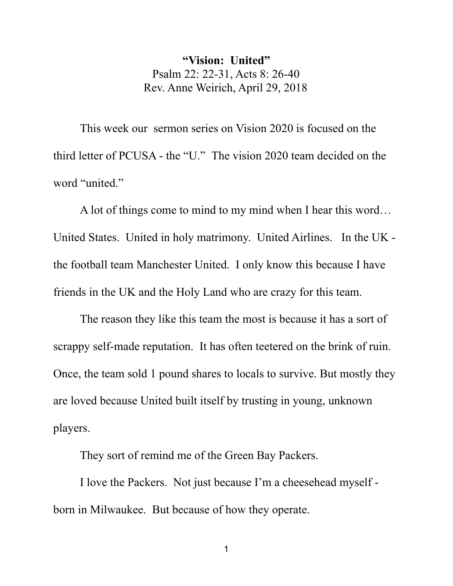**"Vision: United"** Psalm 22: 22-31, Acts 8: 26-40 Rev. Anne Weirich, April 29, 2018

This week our sermon series on Vision 2020 is focused on the third letter of PCUSA - the "U." The vision 2020 team decided on the word "united."

A lot of things come to mind to my mind when I hear this word… United States. United in holy matrimony. United Airlines. In the UK the football team Manchester United. I only know this because I have friends in the UK and the Holy Land who are crazy for this team.

The reason they like this team the most is because it has a sort of scrappy self-made reputation. It has often teetered on the brink of ruin. Once, the team sold 1 pound shares to locals to survive. But mostly they are loved because United built itself by trusting in young, unknown players.

They sort of remind me of the Green Bay Packers.

I love the Packers. Not just because I'm a cheesehead myself born in Milwaukee. But because of how they operate.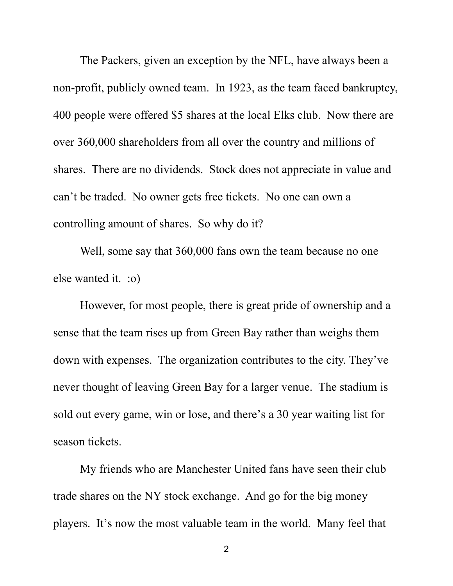The Packers, given an exception by the NFL, have always been a non-profit, publicly owned team. In 1923, as the team faced bankruptcy, 400 people were offered \$5 shares at the local Elks club. Now there are over 360,000 shareholders from all over the country and millions of shares. There are no dividends. Stock does not appreciate in value and can't be traded. No owner gets free tickets. No one can own a controlling amount of shares. So why do it?

Well, some say that 360,000 fans own the team because no one else wanted it. :o)

However, for most people, there is great pride of ownership and a sense that the team rises up from Green Bay rather than weighs them down with expenses. The organization contributes to the city. They've never thought of leaving Green Bay for a larger venue. The stadium is sold out every game, win or lose, and there's a 30 year waiting list for season tickets.

My friends who are Manchester United fans have seen their club trade shares on the NY stock exchange. And go for the big money players. It's now the most valuable team in the world. Many feel that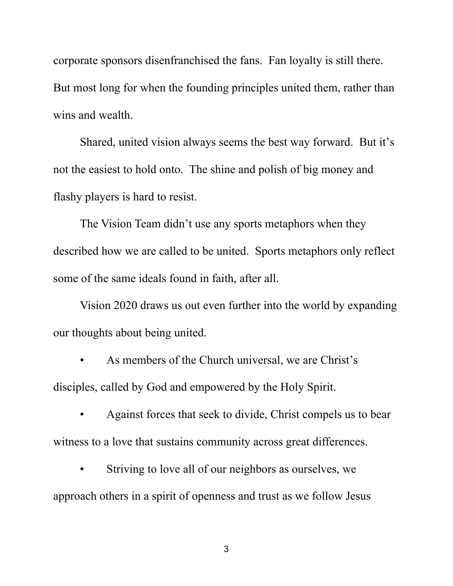corporate sponsors disenfranchised the fans. Fan loyalty is still there. But most long for when the founding principles united them, rather than wins and wealth.

Shared, united vision always seems the best way forward. But it's not the easiest to hold onto. The shine and polish of big money and flashy players is hard to resist.

The Vision Team didn't use any sports metaphors when they described how we are called to be united. Sports metaphors only reflect some of the same ideals found in faith, after all.

Vision 2020 draws us out even further into the world by expanding our thoughts about being united.

As members of the Church universal, we are Christ's disciples, called by God and empowered by the Holy Spirit.

• Against forces that seek to divide, Christ compels us to bear witness to a love that sustains community across great differences.

Striving to love all of our neighbors as ourselves, we approach others in a spirit of openness and trust as we follow Jesus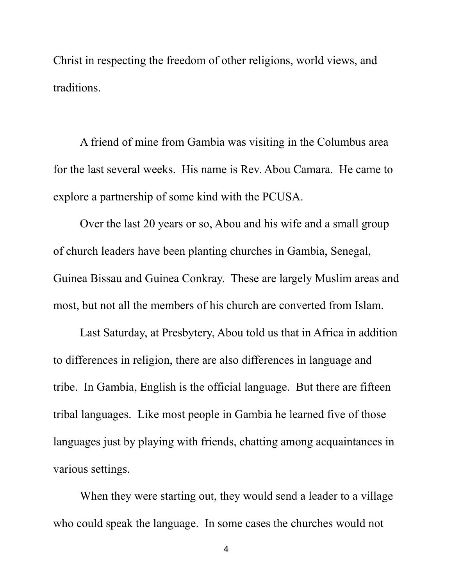Christ in respecting the freedom of other religions, world views, and traditions.

A friend of mine from Gambia was visiting in the Columbus area for the last several weeks. His name is Rev. Abou Camara. He came to explore a partnership of some kind with the PCUSA.

Over the last 20 years or so, Abou and his wife and a small group of church leaders have been planting churches in Gambia, Senegal, Guinea Bissau and Guinea Conkray. These are largely Muslim areas and most, but not all the members of his church are converted from Islam.

Last Saturday, at Presbytery, Abou told us that in Africa in addition to differences in religion, there are also differences in language and tribe. In Gambia, English is the official language. But there are fifteen tribal languages. Like most people in Gambia he learned five of those languages just by playing with friends, chatting among acquaintances in various settings.

When they were starting out, they would send a leader to a village who could speak the language. In some cases the churches would not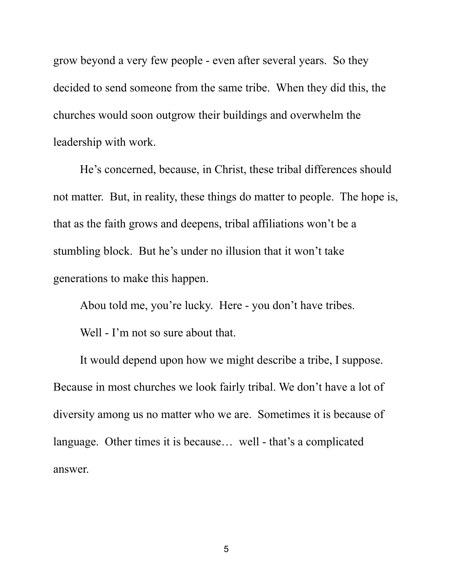grow beyond a very few people - even after several years. So they decided to send someone from the same tribe. When they did this, the churches would soon outgrow their buildings and overwhelm the leadership with work.

He's concerned, because, in Christ, these tribal differences should not matter. But, in reality, these things do matter to people. The hope is, that as the faith grows and deepens, tribal affiliations won't be a stumbling block. But he's under no illusion that it won't take generations to make this happen.

Abou told me, you're lucky. Here - you don't have tribes.

Well - I'm not so sure about that.

It would depend upon how we might describe a tribe, I suppose. Because in most churches we look fairly tribal. We don't have a lot of diversity among us no matter who we are. Sometimes it is because of language. Other times it is because… well - that's a complicated answer.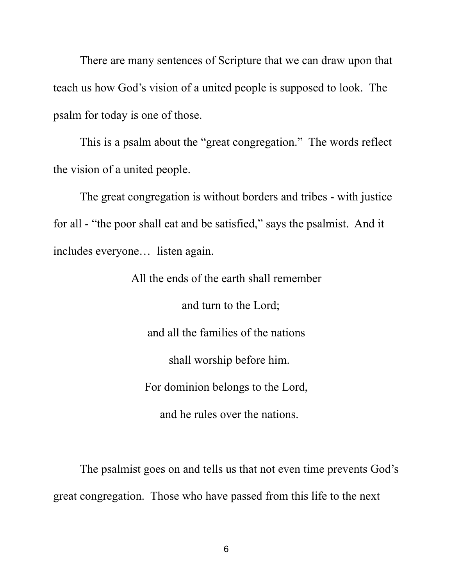There are many sentences of Scripture that we can draw upon that teach us how God's vision of a united people is supposed to look. The psalm for today is one of those.

This is a psalm about the "great congregation." The words reflect the vision of a united people.

The great congregation is without borders and tribes - with justice for all - "the poor shall eat and be satisfied," says the psalmist. And it includes everyone… listen again.

> All the ends of the earth shall remember and turn to the Lord; and all the families of the nations shall worship before him. For dominion belongs to the Lord, and he rules over the nations.

The psalmist goes on and tells us that not even time prevents God's great congregation. Those who have passed from this life to the next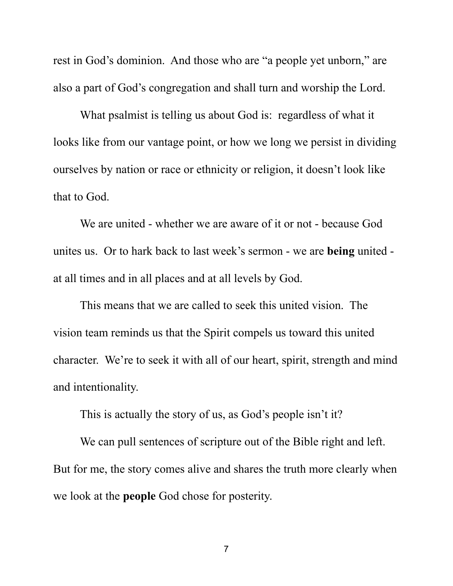rest in God's dominion. And those who are "a people yet unborn," are also a part of God's congregation and shall turn and worship the Lord.

What psalmist is telling us about God is: regardless of what it looks like from our vantage point, or how we long we persist in dividing ourselves by nation or race or ethnicity or religion, it doesn't look like that to God.

We are united - whether we are aware of it or not - because God unites us. Or to hark back to last week's sermon - we are **being** united at all times and in all places and at all levels by God.

This means that we are called to seek this united vision. The vision team reminds us that the Spirit compels us toward this united character. We're to seek it with all of our heart, spirit, strength and mind and intentionality.

This is actually the story of us, as God's people isn't it?

We can pull sentences of scripture out of the Bible right and left. But for me, the story comes alive and shares the truth more clearly when we look at the **people** God chose for posterity.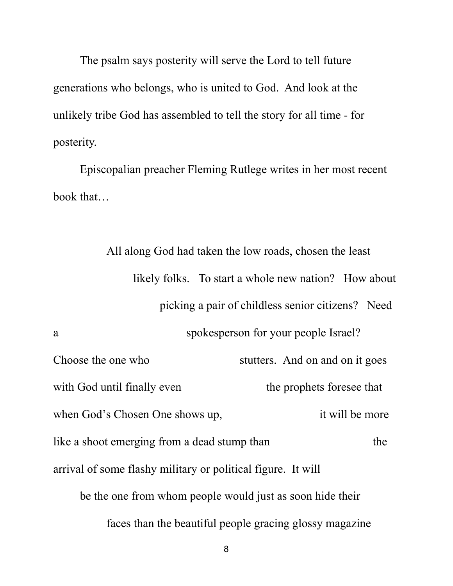The psalm says posterity will serve the Lord to tell future generations who belongs, who is united to God. And look at the unlikely tribe God has assembled to tell the story for all time - for posterity.

Episcopalian preacher Fleming Rutlege writes in her most recent book that…

> All along God had taken the low roads, chosen the least likely folks. To start a whole new nation? How about picking a pair of childless senior citizens? Need

a spokesperson for your people Israel?<br>Choose the one who stutters. And on and on it goes with God until finally even the prophets foresee that when God's Chosen One shows up, it will be more like a shoot emerging from a dead stump than the arrival of some flashy military or political figure. It will be the one from whom people would just as soon hide their

faces than the beautiful people gracing glossy magazine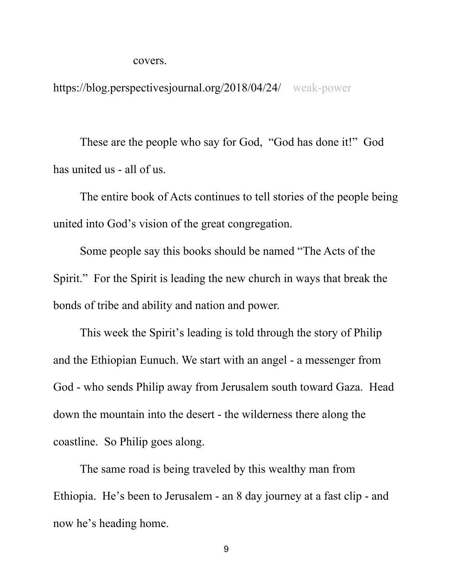covers.

https://blog.perspectivesjournal.org/2018/04/24/ weak-power

These are the people who say for God, "God has done it!" God has united us - all of us.

The entire book of Acts continues to tell stories of the people being united into God's vision of the great congregation.

Some people say this books should be named "The Acts of the Spirit." For the Spirit is leading the new church in ways that break the bonds of tribe and ability and nation and power.<br>This week the Spirit's leading is told through the story of Philip

and the Ethiopian Eunuch. We start with an angel - a messenger from God - who sends Philip away from Jerusalem south toward Gaza. Head down the mountain into the desert - the wilderness there along the coastline. So Philip goes along.

The same road is being traveled by this wealthy man from Ethiopia. He's been to Jerusalem - an 8 day journey at a fast clip - and now he's heading home.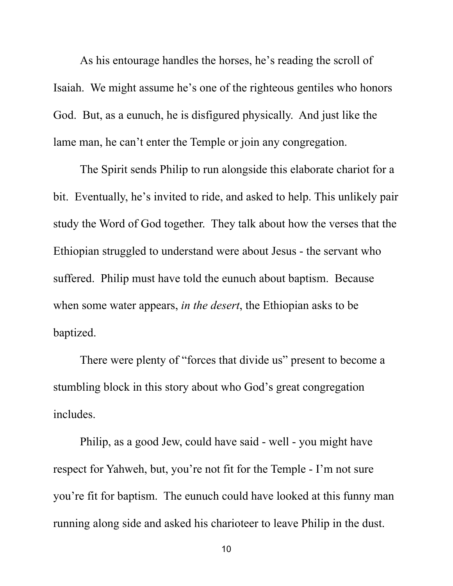As his entourage handles the horses, he's reading the scroll of Isaiah. We might assume he's one of the righteous gentiles who honors God. But, as a eunuch, he is disfigured physically. And just like the lame man, he can't enter the Temple or join any congregation.

The Spirit sends Philip to run alongside this elaborate chariot for a bit. Eventually, he's invited to ride, and asked to help. This unlikely pair study the Word of God together. They talk about how the verses that the Ethiopian struggled to understand were about Jesus - the servant who suffered. Philip must have told the eunuch about baptism. Because when some water appears, *in the desert*, the Ethiopian asks to be baptized.

There were plenty of "forces that divide us" present to become a stumbling block in this story about who God's great congregation includes.

Philip, as a good Jew, could have said - well - you might have respect for Yahweh, but, you're not fit for the Temple - I'm not sure you're fit for baptism. The eunuch could have looked at this funny man running along side and asked his charioteer to leave Philip in the dust.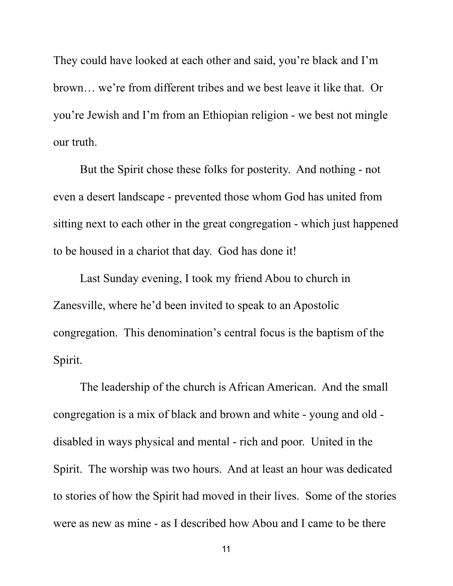They could have looked at each other and said, you're black and I'm brown… we're from different tribes and we best leave it like that. Or you're Jewish and I'm from an Ethiopian religion - we best not mingle our truth.

But the Spirit chose these folks for posterity. And nothing - not even a desert landscape - prevented those whom God has united from sitting next to each other in the great congregation - which just happened to be housed in a chariot that day. God has done it!

Last Sunday evening, I took my friend Abou to church in Zanesville, where he'd been invited to speak to an Apostolic congregation. This denomination's central focus is the baptism of the Spirit.

The leadership of the church is African American. And the small congregation is a mix of black and brown and white - young and old disabled in ways physical and mental - rich and poor. United in the Spirit. The worship was two hours. And at least an hour was dedicated to stories of how the Spirit had moved in their lives. Some of the stories were as new as mine - as I described how Abou and I came to be there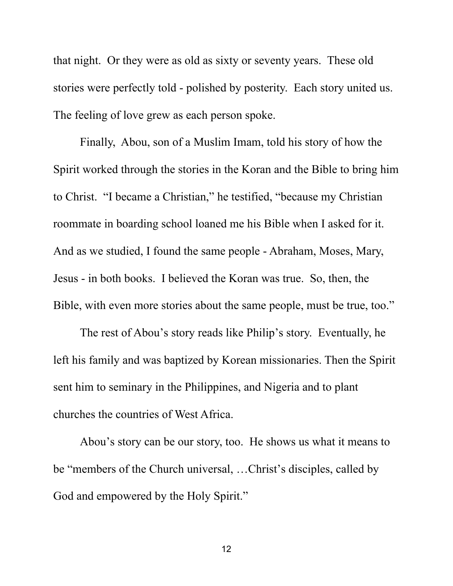that night. Or they were as old as sixty or seventy years. These old stories were perfectly told - polished by posterity. Each story united us. The feeling of love grew as each person spoke.

Finally, Abou, son of a Muslim Imam, told his story of how the Spirit worked through the stories in the Koran and the Bible to bring him to Christ. "I became a Christian," he testified, "because my Christian roommate in boarding school loaned me his Bible when I asked for it. And as we studied, I found the same people - Abraham, Moses, Mary, Jesus - in both books. I believed the Koran was true. So, then, the Bible, with even more stories about the same people, must be true, too."

The rest of Abou's story reads like Philip's story. Eventually, he left his family and was baptized by Korean missionaries. Then the Spirit sent him to seminary in the Philippines, and Nigeria and to plant churches the countries of West Africa.

Abou's story can be our story, too. He shows us what it means to be "members of the Church universal, …Christ's disciples, called by God and empowered by the Holy Spirit."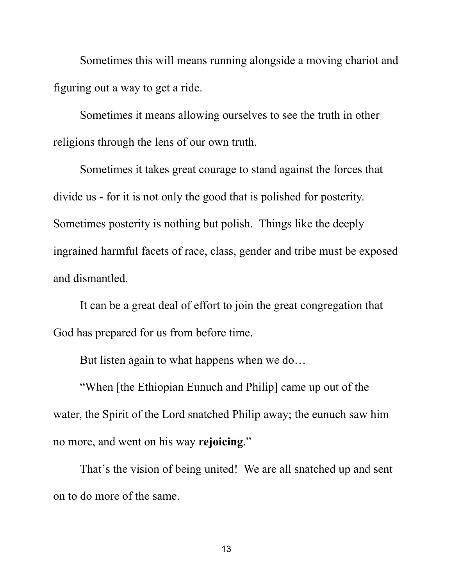Sometimes this will means running alongside a moving chariot and figuring out a way to get a ride.

Sometimes it means allowing ourselves to see the truth in other religions through the lens of our own truth.

Sometimes it takes great courage to stand against the forces that divide us - for it is not only the good that is polished for posterity. Sometimes posterity is nothing but polish. Things like the deeply ingrained harmful facets of race, class, gender and tribe must be exposed and dismantled.

It can be a great deal of effort to join the great congregation that God has prepared for us from before time.

But listen again to what happens when we do…

"When [the Ethiopian Eunuch and Philip] came up out of the water, the Spirit of the Lord snatched Philip away; the eunuch saw him no more, and went on his way **rejoicing**."

That's the vision of being united! We are all snatched up and sent on to do more of the same.